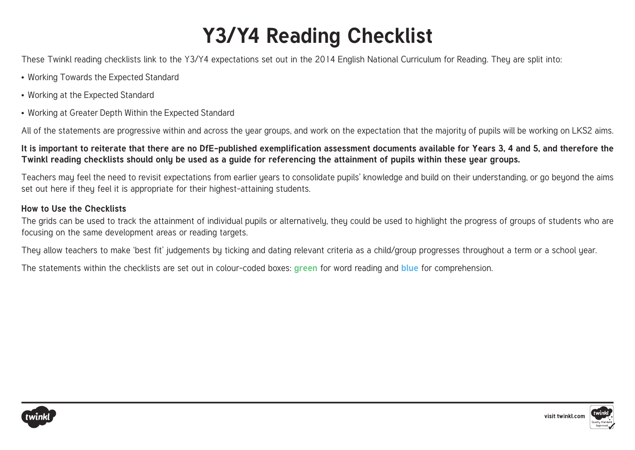# **Y3/Y4 Reading Checklist**

These Twinkl reading checklists link to the Y3/Y4 expectations set out in the 2014 English National Curriculum for Reading. They are split into:

- Working Towards the Expected Standard
- Working at the Expected Standard
- Working at Greater Depth Within the Expected Standard

All of the statements are progressive within and across the year groups, and work on the expectation that the majority of pupils will be working on LKS2 aims.

## **It is important to reiterate that there are no DfE-published exemplification assessment documents available for Years 3, 4 and 5, and therefore the Twinkl reading checklists should only be used as a guide for referencing the attainment of pupils within these year groups.**

Teachers may feel the need to revisit expectations from earlier years to consolidate pupils' knowledge and build on their understanding, or go beyond the aims set out here if they feel it is appropriate for their highest-attaining students.

## **How to Use the Checklists**

The grids can be used to track the attainment of individual pupils or alternatively, they could be used to highlight the progress of groups of students who are focusing on the same development areas or reading targets.

They allow teachers to make 'best fit' judgements by ticking and dating relevant criteria as a child/group progresses throughout a term or a school year.

The statements within the checklists are set out in colour-coded boxes: **green** for word reading and **blue** for comprehension.



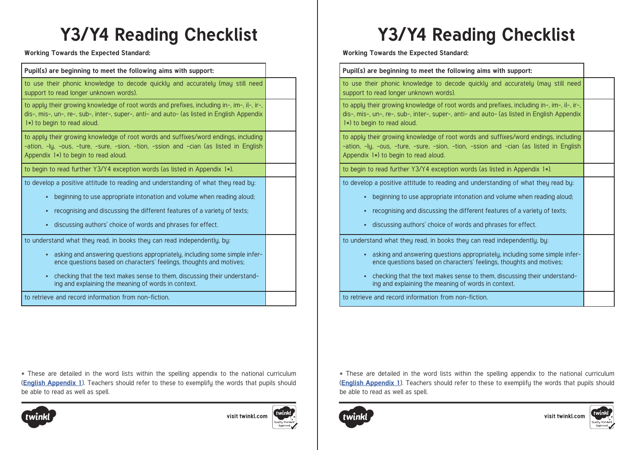**Working Towards the Expected Standard:** 

**Pupil(s) are beginning to meet the following aims with support:**  to use their phonic knowledge to decode quickly and accurately (may still need support to read longer unknown words). to apply their growing knowledge of root words and prefixes, including in-, im-, il-, ir-, dis-, mis-, un-, re-, sub-, inter-, super-, anti- and auto- (as listed in English Appendix 1\*) to begin to read aloud. to apply their growing knowledge of root words and suffixes/word endings, including -ation, -ly, -ous, -ture, -sure, -sion, -tion, -ssion and -cian (as listed in English Appendix  $1\star$ ) to begin to read aloud. to begin to read further Y3/Y4 exception words (as listed in Appendix 1\*). to develop a positive attitude to reading and understanding of what they read by: • beginning to use appropriate intonation and volume when reading aloud; • recognising and discussing the different features of a variety of texts; • discussing authors' choice of words and phrases for effect. to understand what they read, in books they can read independently, by: • asking and answering questions appropriately, including some simple inference questions based on characters' feelings, thoughts and motives;

• checking that the text makes sense to them, discussing their understanding and explaining the meaning of words in context.

to retrieve and record information from non-fiction.

\* These are detailed in the word lists within the spelling appendix to the national curriculum (**[English Appendix 1](https://assets.publishing.service.gov.uk/government/uploads/system/uploads/attachment_data/file/239784/English_Appendix_1_-_Spelling.pdf)**). Teachers should refer to these to exemplify the words that pupils should be able to read as well as spell.





**Working Towards the Expected Standard:** 

### **Pupil(s) are beginning to meet the following aims with support:**

to use their phonic knowledge to decode quickly and accurately (may still need support to read longer unknown words).

to apply their growing knowledge of root words and prefixes, including in-, im-, il-, ir-, dis-, mis-, un-, re-, sub-, inter-, super-, anti- and auto- (as listed in English Appendix 1\*) to begin to read aloud.

to apply their growing knowledge of root words and suffixes/word endings, including -ation, -ly, -ous, -ture, -sure, -sion, -tion, -ssion and -cian (as listed in English Appendix  $1*$ ) to begin to read aloud.

to begin to read further Y3/Y4 exception words (as listed in Appendix 1\*).

to develop a positive attitude to reading and understanding of what they read by:

- beginning to use appropriate intonation and volume when reading aloud;
- recognising and discussing the different features of a variety of texts;
- discussing authors' choice of words and phrases for effect.

to understand what they read, in books they can read independently, by:

- asking and answering questions appropriately, including some simple inference questions based on characters' feelings, thoughts and motives;
- checking that the text makes sense to them, discussing their understanding and explaining the meaning of words in context.

to retrieve and record information from non-fiction.

\* These are detailed in the word lists within the spelling appendix to the national curriculum (**[English Appendix 1](https://assets.publishing.service.gov.uk/government/uploads/system/uploads/attachment_data/file/239784/English_Appendix_1_-_Spelling.pdf)**). Teachers should refer to these to exemplify the words that pupils should be able to read as well as spell.





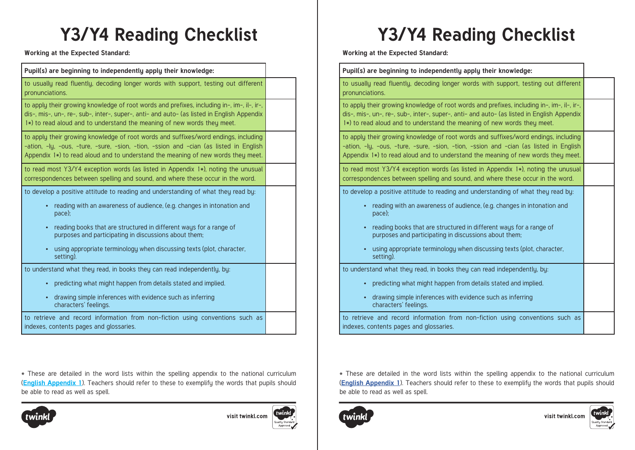## **Y3/Y4 Reading Checklist Y3/Y4 Reading Checklist**

**Working at the Expected Standard:** 

| Pupil(s) are beginning to independently apply their knowledge:                                                                                                                                                                                                      |  |
|---------------------------------------------------------------------------------------------------------------------------------------------------------------------------------------------------------------------------------------------------------------------|--|
| to usually read fluently, decoding longer words with support, testing out different<br>pronunciations.                                                                                                                                                              |  |
| to apply their growing knowledge of root words and prefixes, including in-, im-, il-, ir-,<br>dis-, mis-, un-, re-, sub-, inter-, super-, anti- and auto- (as listed in English Appendix<br>1*) to read aloud and to understand the meaning of new words they meet. |  |
| to apply their growing knowledge of root words and suffixes/word endings, including<br>-ation, -ly, -ous, -ture, -sure, -sion, -tion, -ssion and -cian (as listed in English<br>Appendix 1*) to read aloud and to understand the meaning of new words they meet.    |  |
| to read most Y3/Y4 exception words (as listed in Appendix 1*), noting the unusual<br>correspondences between spelling and sound, and where these occur in the word.                                                                                                 |  |
| to develop a positive attitude to reading and understanding of what they read by:                                                                                                                                                                                   |  |
| reading with an awareness of audience, (e.g. changes in intonation and<br>pace);                                                                                                                                                                                    |  |
| reading books that are structured in different ways for a range of<br>purposes and participating in discussions about them;                                                                                                                                         |  |
| using appropriate terminology when discussing texts (plot, character,<br>setting).                                                                                                                                                                                  |  |
| to understand what they read, in books they can read independently, by:                                                                                                                                                                                             |  |
| predicting what might happen from details stated and implied.<br>$\bullet$                                                                                                                                                                                          |  |
| drawing simple inferences with evidence such as inferring<br>$\bullet$<br>characters' feelings.                                                                                                                                                                     |  |
| to retrieve and record information from non-fiction using conventions such as<br>indexes, contents pages and glossaries.                                                                                                                                            |  |
|                                                                                                                                                                                                                                                                     |  |

\* These are detailed in the word lists within the spelling appendix to the national curriculum (**[English Appendix 1](https://assets.publishing.service.gov.uk/government/uploads/system/uploads/attachment_data/file/239784/English_Appendix_1_-_Spelling.pdf)**). Teachers should refer to these to exemplify the words that pupils should be able to read as well as spell.



visit twinkl.com

**Working at the Expected Standard:** 

| Pupil(s) are beginning to independently apply their knowledge:                                                                                                                                                                                                                                                                                                                                          |  |
|---------------------------------------------------------------------------------------------------------------------------------------------------------------------------------------------------------------------------------------------------------------------------------------------------------------------------------------------------------------------------------------------------------|--|
| to usually read fluently, decoding longer words with support, testing out different<br>pronunciations.                                                                                                                                                                                                                                                                                                  |  |
| to apply their growing knowledge of root words and prefixes, including in-, im-, il-, ir-,<br>dis-, mis-, un-, re-, sub-, inter-, super-, anti- and auto- (as listed in English Appendix<br>1*) to read aloud and to understand the meaning of new words they meet.                                                                                                                                     |  |
| to apply their growing knowledge of root words and suffixes/word endings, including<br>-ation, -ly, -ous, -ture, -sure, -sion, -tion, -ssion and -cian (as listed in English<br>Appendix $1*$ ) to read aloud and to understand the meaning of new words they meet.                                                                                                                                     |  |
| to read most Y3/Y4 exception words (as listed in Appendix 1*), noting the unusual<br>correspondences between spelling and sound, and where these occur in the word.                                                                                                                                                                                                                                     |  |
| to develop a positive attitude to reading and understanding of what they read by:<br>reading with an awareness of audience, (e.g. changes in intonation and<br>pace);<br>reading books that are structured in different ways for a range of<br>$\bullet$<br>purposes and participating in discussions about them;<br>using appropriate terminology when discussing texts (plot, character,<br>setting). |  |
| to understand what they read, in books they can read independently, by:<br>predicting what might happen from details stated and implied.<br>drawing simple inferences with evidence such as inferring<br>characters' feelings.                                                                                                                                                                          |  |
| to retrieve and record information from non-fiction using conventions such as<br>indexes, contents pages and glossaries.                                                                                                                                                                                                                                                                                |  |

\* These are detailed in the word lists within the spelling appendix to the national curriculum (**[English Appendix 1](https://assets.publishing.service.gov.uk/government/uploads/system/uploads/attachment_data/file/239784/English_Appendix_1_-_Spelling.pdf)**). Teachers should refer to these to exemplify the words that pupils should be able to read as well as spell.